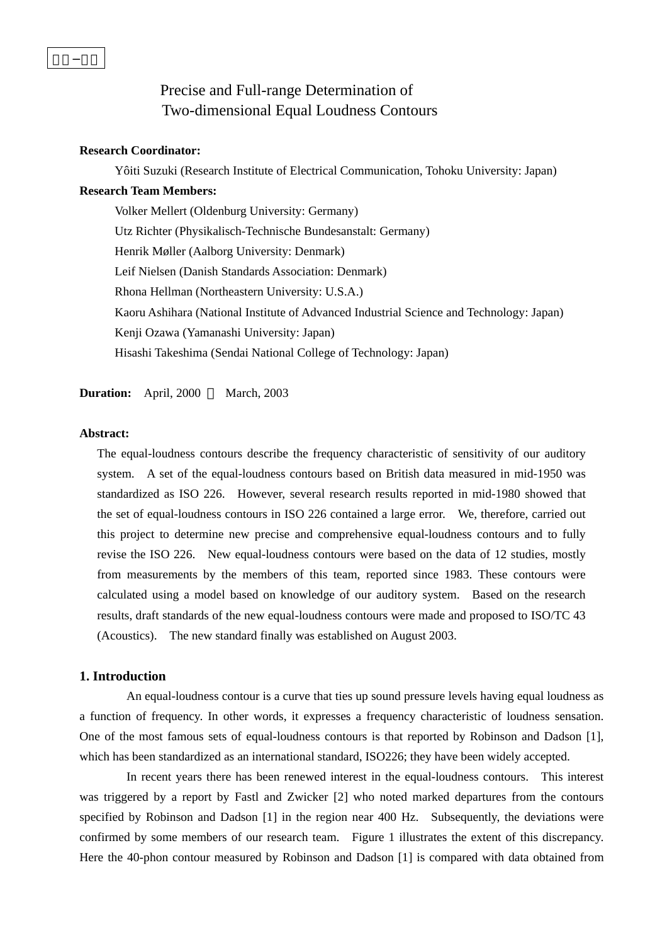# Precise and Full-range Determination of Two-dimensional Equal Loudness Contours

## **Research Coordinator:**

IS-01

Yôiti Suzuki (Research Institute of Electrical Communication, Tohoku University: Japan) **Research Team Members:**  Volker Mellert (Oldenburg University: Germany) Utz Richter (Physikalisch-Technische Bundesanstalt: Germany) Henrik Møller (Aalborg University: Denmark) Leif Nielsen (Danish Standards Association: Denmark) Rhona Hellman (Northeastern University: U.S.A.) Kaoru Ashihara (National Institute of Advanced Industrial Science and Technology: Japan) Kenji Ozawa (Yamanashi University: Japan) Hisashi Takeshima (Sendai National College of Technology: Japan)

**Duration:** April, 2000 March, 2003

#### **Abstract:**

The equal-loudness contours describe the frequency characteristic of sensitivity of our auditory system. A set of the equal-loudness contours based on British data measured in mid-1950 was standardized as ISO 226. However, several research results reported in mid-1980 showed that the set of equal-loudness contours in ISO 226 contained a large error. We, therefore, carried out this project to determine new precise and comprehensive equal-loudness contours and to fully revise the ISO 226. New equal-loudness contours were based on the data of 12 studies, mostly from measurements by the members of this team, reported since 1983. These contours were calculated using a model based on knowledge of our auditory system. Based on the research results, draft standards of the new equal-loudness contours were made and proposed to ISO/TC 43 (Acoustics). The new standard finally was established on August 2003.

#### **1. Introduction**

An equal-loudness contour is a curve that ties up sound pressure levels having equal loudness as a function of frequency. In other words, it expresses a frequency characteristic of loudness sensation. One of the most famous sets of equal-loudness contours is that reported by Robinson and Dadson [1], which has been standardized as an international standard, ISO226; they have been widely accepted.

In recent years there has been renewed interest in the equal-loudness contours. This interest was triggered by a report by Fastl and Zwicker [2] who noted marked departures from the contours specified by Robinson and Dadson [1] in the region near 400 Hz. Subsequently, the deviations were confirmed by some members of our research team. Figure 1 illustrates the extent of this discrepancy. Here the 40-phon contour measured by Robinson and Dadson [1] is compared with data obtained from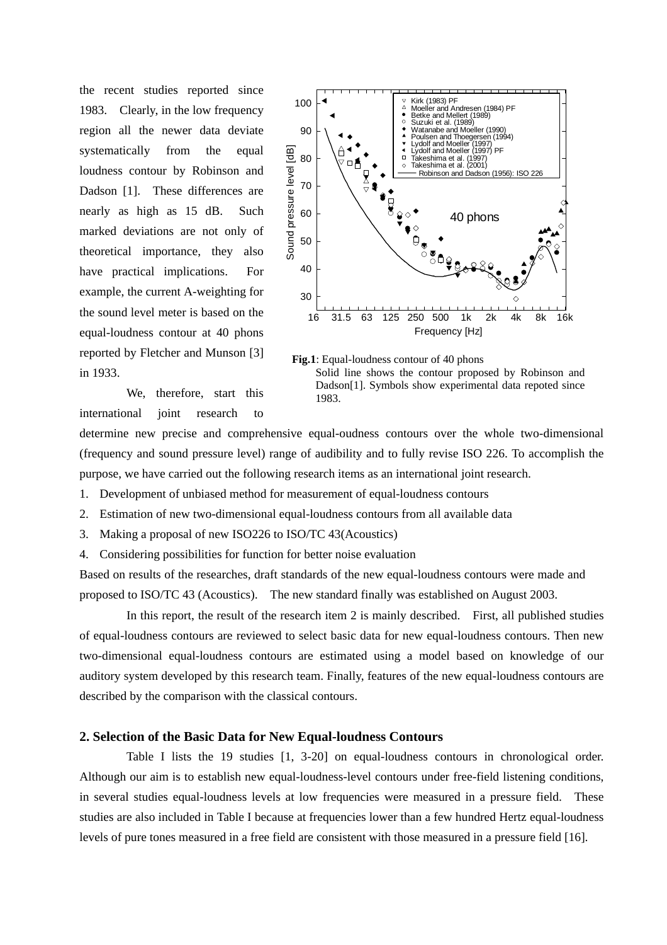the recent studies reported since 1983. Clearly, in the low frequency region all the newer data deviate systematically from the equal loudness contour by Robinson and Dadson [1]. These differences are nearly as high as 15 dB. Such marked deviations are not only of theoretical importance, they also have practical implications. For example, the current A-weighting for the sound level meter is based on the equal-loudness contour at 40 phons reported by Fletcher and Munson [3] in 1933.

 We, therefore, start this international joint research to



**Fig.1**: Equal-loudness contour of 40 phons Solid line shows the contour proposed by Robinson and Dadson[1]. Symbols show experimental data repoted since 1983.

determine new precise and comprehensive equal-oudness contours over the whole two-dimensional (frequency and sound pressure level) range of audibility and to fully revise ISO 226. To accomplish the purpose, we have carried out the following research items as an international joint research.

- 1. Development of unbiased method for measurement of equal-loudness contours
- 2. Estimation of new two-dimensional equal-loudness contours from all available data
- 3. Making a proposal of new ISO226 to ISO/TC 43(Acoustics)
- 4. Considering possibilities for function for better noise evaluation

Based on results of the researches, draft standards of the new equal-loudness contours were made and proposed to ISO/TC 43 (Acoustics). The new standard finally was established on August 2003.

 In this report, the result of the research item 2 is mainly described. First, all published studies of equal-loudness contours are reviewed to select basic data for new equal-loudness contours. Then new two-dimensional equal-loudness contours are estimated using a model based on knowledge of our auditory system developed by this research team. Finally, features of the new equal-loudness contours are described by the comparison with the classical contours.

## **2. Selection of the Basic Data for New Equal-loudness Contours**

Table I lists the 19 studies [1, 3-20] on equal-loudness contours in chronological order. Although our aim is to establish new equal-loudness-level contours under free-field listening conditions, in several studies equal-loudness levels at low frequencies were measured in a pressure field. These studies are also included in Table I because at frequencies lower than a few hundred Hertz equal-loudness levels of pure tones measured in a free field are consistent with those measured in a pressure field [16].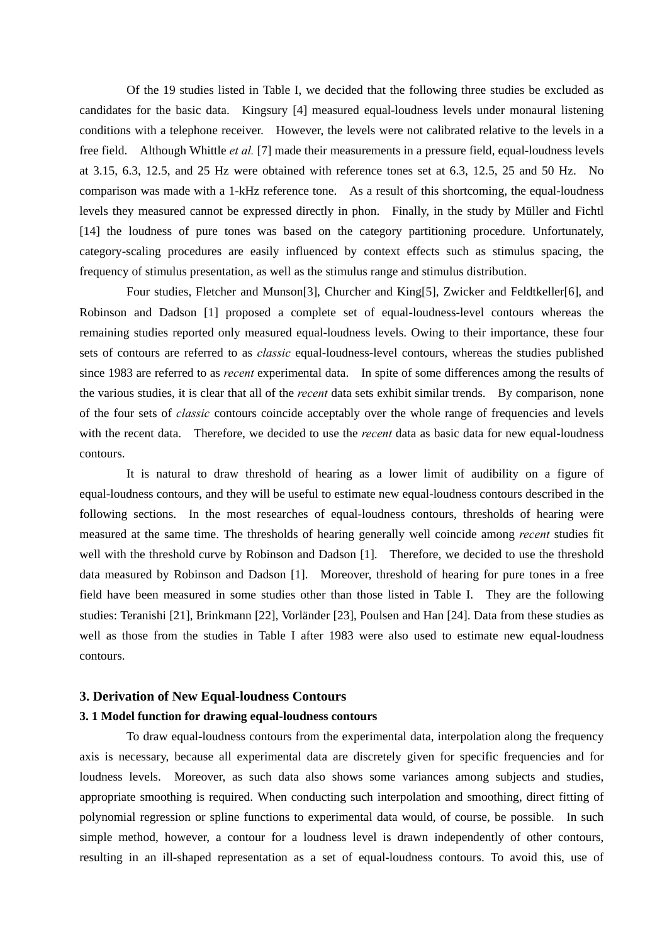Of the 19 studies listed in Table I, we decided that the following three studies be excluded as candidates for the basic data. Kingsury [4] measured equal-loudness levels under monaural listening conditions with a telephone receiver. However, the levels were not calibrated relative to the levels in a free field. Although Whittle *et al.* [7] made their measurements in a pressure field, equal-loudness levels at 3.15, 6.3, 12.5, and 25 Hz were obtained with reference tones set at 6.3, 12.5, 25 and 50 Hz. No comparison was made with a 1-kHz reference tone. As a result of this shortcoming, the equal-loudness levels they measured cannot be expressed directly in phon. Finally, in the study by Müller and Fichtl [14] the loudness of pure tones was based on the category partitioning procedure. Unfortunately, category-scaling procedures are easily influenced by context effects such as stimulus spacing, the frequency of stimulus presentation, as well as the stimulus range and stimulus distribution.

Four studies, Fletcher and Munson[3], Churcher and King[5], Zwicker and Feldtkeller[6], and Robinson and Dadson [1] proposed a complete set of equal-loudness-level contours whereas the remaining studies reported only measured equal-loudness levels. Owing to their importance, these four sets of contours are referred to as *classic* equal-loudness-level contours, whereas the studies published since 1983 are referred to as *recent* experimental data. In spite of some differences among the results of the various studies, it is clear that all of the *recent* data sets exhibit similar trends. By comparison, none of the four sets of *classic* contours coincide acceptably over the whole range of frequencies and levels with the recent data. Therefore, we decided to use the *recent* data as basic data for new equal-loudness contours.

It is natural to draw threshold of hearing as a lower limit of audibility on a figure of equal-loudness contours, and they will be useful to estimate new equal-loudness contours described in the following sections. In the most researches of equal-loudness contours, thresholds of hearing were measured at the same time. The thresholds of hearing generally well coincide among *recent* studies fit well with the threshold curve by Robinson and Dadson [1]. Therefore, we decided to use the threshold data measured by Robinson and Dadson [1]. Moreover, threshold of hearing for pure tones in a free field have been measured in some studies other than those listed in Table I. They are the following studies: Teranishi [21], Brinkmann [22], Vorländer [23], Poulsen and Han [24]. Data from these studies as well as those from the studies in Table I after 1983 were also used to estimate new equal-loudness contours.

#### **3. Derivation of New Equal-loudness Contours**

#### **3. 1 Model function for drawing equal-loudness contours**

To draw equal-loudness contours from the experimental data, interpolation along the frequency axis is necessary, because all experimental data are discretely given for specific frequencies and for loudness levels. Moreover, as such data also shows some variances among subjects and studies, appropriate smoothing is required. When conducting such interpolation and smoothing, direct fitting of polynomial regression or spline functions to experimental data would, of course, be possible. In such simple method, however, a contour for a loudness level is drawn independently of other contours, resulting in an ill-shaped representation as a set of equal-loudness contours. To avoid this, use of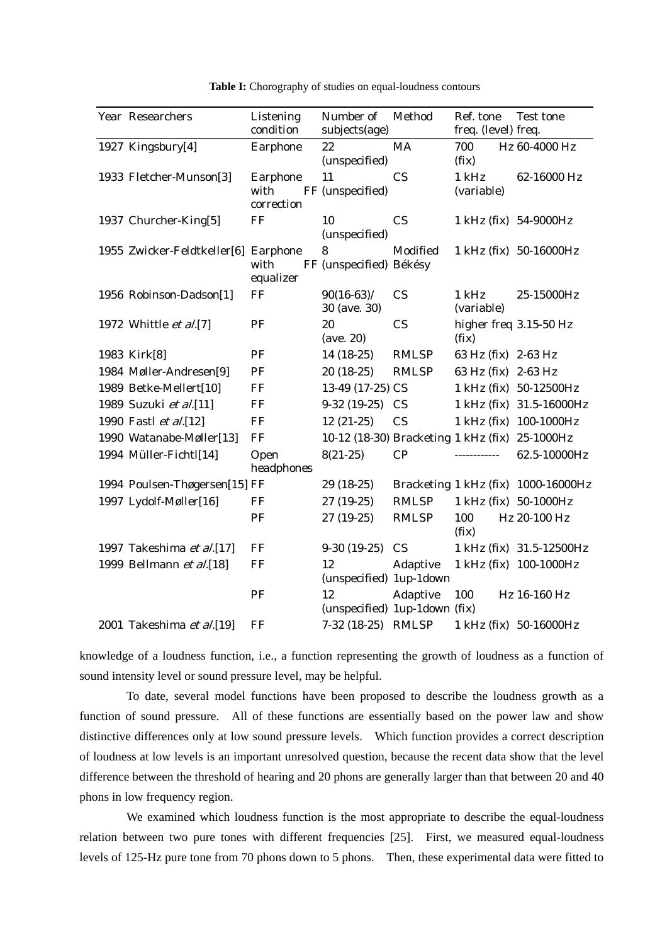| Year Researchers                     | Listening<br>condition         | Number of<br>subjects(age)                     | Method       | Ref. tone<br>freq. (level) freq. | Test tone                           |
|--------------------------------------|--------------------------------|------------------------------------------------|--------------|----------------------------------|-------------------------------------|
| 1927 Kingsbury[4]                    | Earphone                       | 22<br>(unspecified)                            | MA           | 700<br>(fix)                     | Hz 60-4000 Hz                       |
| 1933 Fletcher-Munson[3]              | Earphone<br>with<br>correction | 11<br>FF (unspecified)                         | CS           | $1$ kHz<br>(variable)            | 62-16000 Hz                         |
| 1937 Churcher-King[5]                | FF                             | 10<br>(unspecified)                            | CS           |                                  | 1 kHz (fix) 54-9000Hz               |
| 1955 Zwicker-Feldtkeller[6] Earphone | with<br>equalizer              | 8<br>FF (unspecified) Békésy                   | Modified     |                                  | 1 kHz (fix) 50-16000Hz              |
| 1956 Robinson-Dadson[1]              | FF                             | $90(16-63)$ /<br>30 (ave. 30)                  | CS           | $1$ kHz<br>(variable)            | 25-15000Hz                          |
| 1972 Whittle et al.[7]               | PF                             | 20<br>(ave. 20)                                | CS           | (fix)                            | higher freq 3.15-50 Hz              |
| 1983 Kirk[8]                         | PF                             | $14(18-25)$                                    | <b>RMLSP</b> | 63 Hz (fix) 2-63 Hz              |                                     |
| 1984 Møller-Andresen[9]              | PF                             | $20(18-25)$                                    | <b>RMLSP</b> | 63 Hz (fix) 2-63 Hz              |                                     |
| 1989 Betke-Mellert[10]               | FF                             | 13-49 (17-25) CS                               |              |                                  | 1 kHz (fix) 50-12500Hz              |
| 1989 Suzuki et al.[11]               | FF                             | $9-32(19-25)$                                  | CS           |                                  | 1 kHz (fix) 31.5-16000Hz            |
| 1990 Fastl et al.[12]                | FF                             | $12(21-25)$                                    | CS           |                                  | 1 kHz (fix) 100-1000Hz              |
| 1990 Watanabe-Møller[13]             | FF                             | 10-12 (18-30) Bracketing 1 kHz (fix) 25-1000Hz |              |                                  |                                     |
| 1994 Müller-Fichtl[14]               | Open<br>headphones             | $8(21-25)$                                     | CP           | ------------                     | 62.5-10000Hz                        |
| 1994 Poulsen-Thøgersen[15] FF        |                                | $29(18-25)$                                    |              |                                  | Bracketing 1 kHz (fix) 1000-16000Hz |
| 1997 Lydolf-Møller[16]               | FF                             | $27(19-25)$                                    | <b>RMLSP</b> |                                  | 1 kHz (fix) 50-1000Hz               |
|                                      | PF                             | $27(19-25)$                                    | <b>RMLSP</b> | 100<br>(fix)                     | Hz 20-100 Hz                        |
| 1997 Takeshima et al.[17]            | FF                             | $9-30(19-25)$                                  | CS           |                                  | 1 kHz (fix) 31.5-12500Hz            |
| 1999 Bellmann et al.[18]             | FF                             | 12<br>(unspecified) 1up-1down                  | Adaptive     |                                  | 1 kHz (fix) 100-1000Hz              |
|                                      | PF                             | 12<br>(unspecified) 1up-1down (fix)            | Adaptive     | 100                              | Hz 16-160 Hz                        |
| 2001 Takeshima et al.[19]            | FF                             | 7-32 (18-25) RMLSP                             |              |                                  | 1 kHz (fix) 50-16000Hz              |

**Table I:** Chorography of studies on equal-loudness contours

knowledge of a loudness function, i.e., a function representing the growth of loudness as a function of sound intensity level or sound pressure level, may be helpful.

To date, several model functions have been proposed to describe the loudness growth as a function of sound pressure. All of these functions are essentially based on the power law and show distinctive differences only at low sound pressure levels. Which function provides a correct description of loudness at low levels is an important unresolved question, because the recent data show that the level difference between the threshold of hearing and 20 phons are generally larger than that between 20 and 40 phons in low frequency region.

We examined which loudness function is the most appropriate to describe the equal-loudness relation between two pure tones with different frequencies [25]. First, we measured equal-loudness levels of 125-Hz pure tone from 70 phons down to 5 phons. Then, these experimental data were fitted to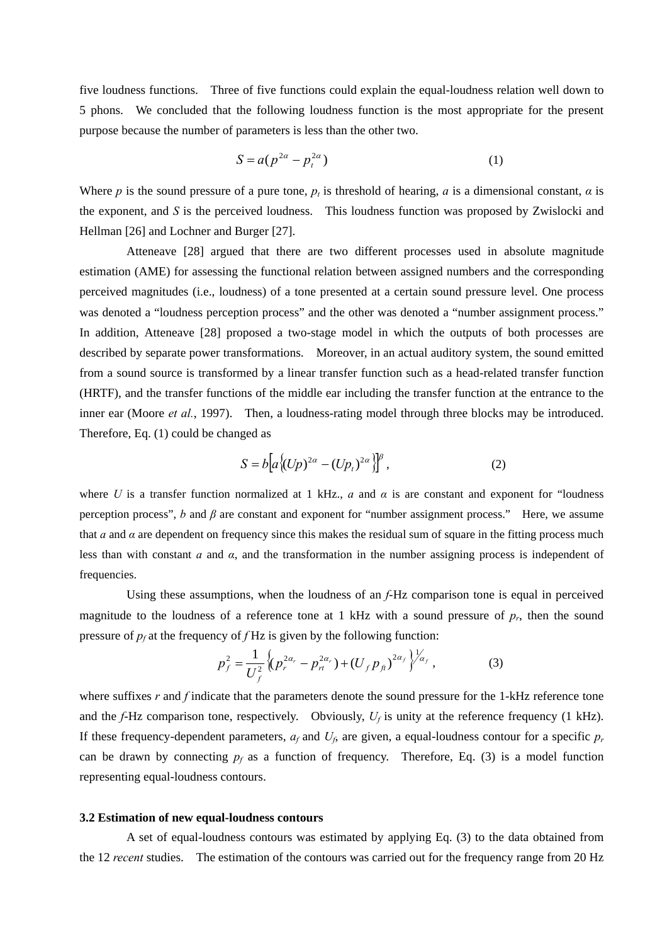five loudness functions. Three of five functions could explain the equal-loudness relation well down to 5 phons. We concluded that the following loudness function is the most appropriate for the present purpose because the number of parameters is less than the other two.

$$
S = a(p^{2\alpha} - p_t^{2\alpha})
$$
 (1)

Where *p* is the sound pressure of a pure tone, *p<sub>t</sub>* is threshold of hearing, *a* is a dimensional constant,  $\alpha$  is the exponent, and *S* is the perceived loudness. This loudness function was proposed by Zwislocki and Hellman [26] and Lochner and Burger [27].

Atteneave [28] argued that there are two different processes used in absolute magnitude estimation (AME) for assessing the functional relation between assigned numbers and the corresponding perceived magnitudes (i.e., loudness) of a tone presented at a certain sound pressure level. One process was denoted a "loudness perception process" and the other was denoted a "number assignment process." In addition, Atteneave [28] proposed a two-stage model in which the outputs of both processes are described by separate power transformations. Moreover, in an actual auditory system, the sound emitted from a sound source is transformed by a linear transfer function such as a head-related transfer function (HRTF), and the transfer functions of the middle ear including the transfer function at the entrance to the inner ear (Moore *et al.*, 1997). Then, a loudness-rating model through three blocks may be introduced. Therefore, Eq. (1) could be changed as

$$
S = b \Big[ a \big\{ (Up)^{2\alpha} - (Up_t)^{2\alpha} \big\} \Big]^{\beta} , \tag{2}
$$

where *U* is a transfer function normalized at 1 kHz., *a* and  $\alpha$  is are constant and exponent for "loudness" perception process", *b* and *β* are constant and exponent for "number assignment process." Here, we assume that *a* and  $\alpha$  are dependent on frequency since this makes the residual sum of square in the fitting process much less than with constant *a* and *α*, and the transformation in the number assigning process is independent of frequencies.

Using these assumptions, when the loudness of an *f*-Hz comparison tone is equal in perceived magnitude to the loudness of a reference tone at 1 kHz with a sound pressure of  $p_r$ , then the sound pressure of  $p_f$  at the frequency of  $f$  Hz is given by the following function:

$$
p_f^2 = \frac{1}{U_f^2} \Big\{ \left( p_r^{2\alpha_r} - p_{rt}^{2\alpha_r} \right) + \left( U_f p_{ft} \right)^{2\alpha_f} \Big\}^{1/2} \Big\}
$$
 (3)

where suffixes *r* and *f* indicate that the parameters denote the sound pressure for the 1-kHz reference tone and the *f*-Hz comparison tone, respectively. Obviously, *Uf* is unity at the reference frequency (1 kHz). If these frequency-dependent parameters,  $a_f$  and  $U_f$ , are given, a equal-loudness contour for a specific  $p_r$ can be drawn by connecting  $p_f$  as a function of frequency. Therefore, Eq. (3) is a model function representing equal-loudness contours.

#### **3.2 Estimation of new equal-loudness contours**

A set of equal-loudness contours was estimated by applying Eq. (3) to the data obtained from the 12 *recent* studies. The estimation of the contours was carried out for the frequency range from 20 Hz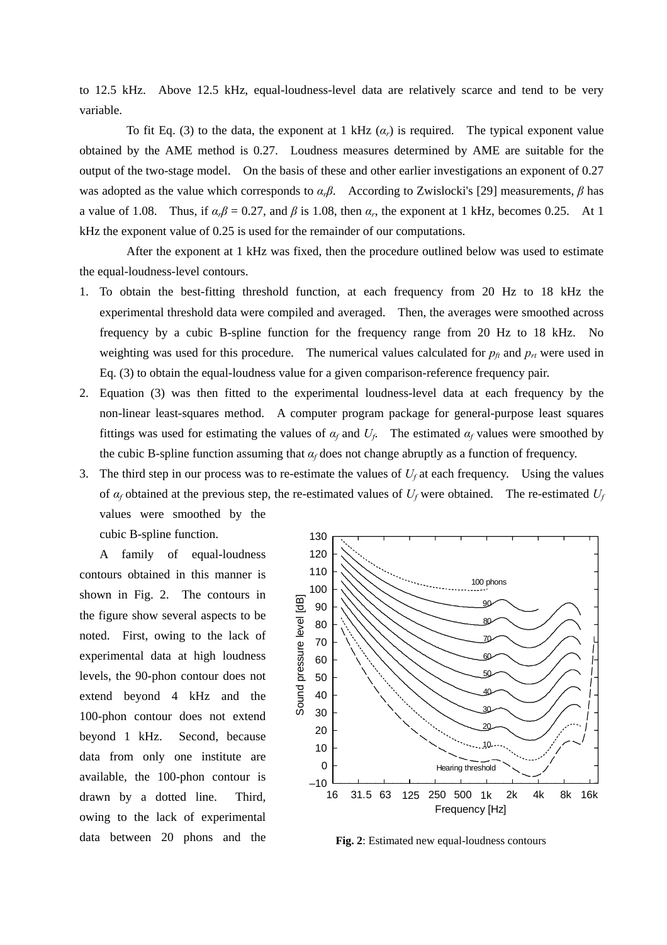to 12.5 kHz. Above 12.5 kHz, equal-loudness-level data are relatively scarce and tend to be very variable.

To fit Eq. (3) to the data, the exponent at 1 kHz  $(\alpha_r)$  is required. The typical exponent value obtained by the AME method is 0.27. Loudness measures determined by AME are suitable for the output of the two-stage model. On the basis of these and other earlier investigations an exponent of 0.27 was adopted as the value which corresponds to *αrβ*. According to Zwislocki's [29] measurements, *β* has a value of 1.08. Thus, if  $\alpha_r \beta = 0.27$ , and  $\beta$  is 1.08, then  $\alpha_r$ , the exponent at 1 kHz, becomes 0.25. At 1 kHz the exponent value of 0.25 is used for the remainder of our computations.

 After the exponent at 1 kHz was fixed, then the procedure outlined below was used to estimate the equal-loudness-level contours.

- 1. To obtain the best-fitting threshold function, at each frequency from 20 Hz to 18 kHz the experimental threshold data were compiled and averaged. Then, the averages were smoothed across frequency by a cubic B-spline function for the frequency range from 20 Hz to 18 kHz. No weighting was used for this procedure. The numerical values calculated for  $p_f$  and  $p_{rt}$  were used in Eq. (3) to obtain the equal-loudness value for a given comparison-reference frequency pair.
- 2. Equation (3) was then fitted to the experimental loudness-level data at each frequency by the non-linear least-squares method. A computer program package for general-purpose least squares fittings was used for estimating the values of  $\alpha_f$  and  $U_f$ . The estimated  $\alpha_f$  values were smoothed by the cubic B-spline function assuming that *αf* does not change abruptly as a function of frequency.
- 3. The third step in our process was to re-estimate the values of  $U_f$  at each frequency. Using the values of  $\alpha_f$  obtained at the previous step, the re-estimated values of  $U_f$  were obtained. The re-estimated  $U_f$ values were smoothed by the

cubic B-spline function.

A family of equal-loudness contours obtained in this manner is shown in Fig. 2. The contours in the figure show several aspects to be noted. First, owing to the lack of experimental data at high loudness levels, the 90-phon contour does not extend beyond 4 kHz and the 100-phon contour does not extend beyond 1 kHz. Second, because data from only one institute are available, the 100-phon contour is drawn by a dotted line. Third, owing to the lack of experimental data between 20 phons and the **Fig. 2**: Estimated new equal-loudness contours

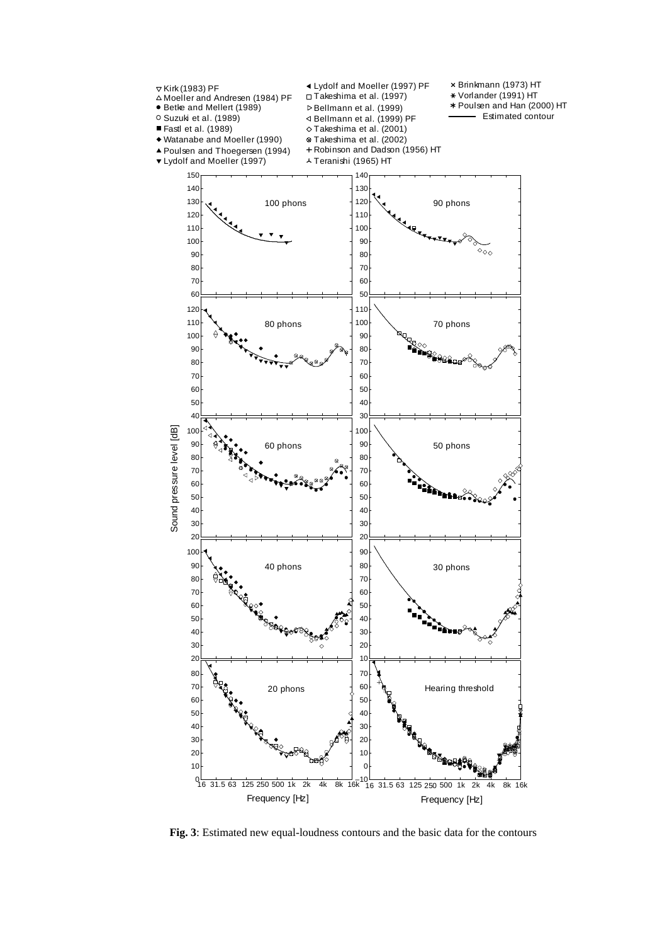

**Fig. 3**: Estimated new equal-loudness contours and the basic data for the contours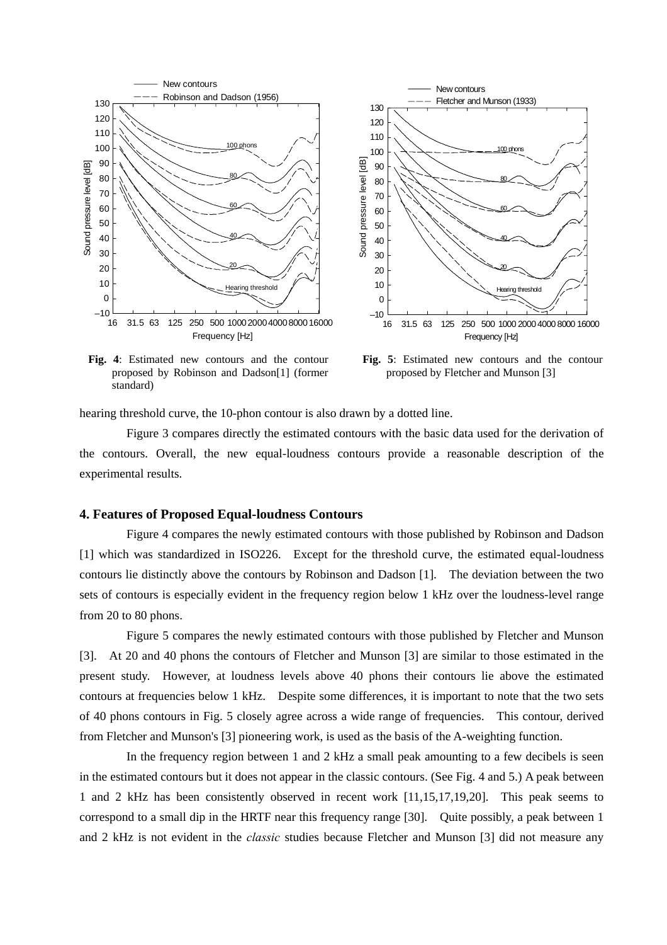

**Fig. 4**: Estimated new contours and the contour proposed by Robinson and Dadson[1] (former standard)



**Fig. 5**: Estimated new contours and the contour proposed by Fletcher and Munson [3]

hearing threshold curve, the 10-phon contour is also drawn by a dotted line.

Figure 3 compares directly the estimated contours with the basic data used for the derivation of the contours. Overall, the new equal-loudness contours provide a reasonable description of the experimental results.

# **4. Features of Proposed Equal-loudness Contours**

Figure 4 compares the newly estimated contours with those published by Robinson and Dadson [1] which was standardized in ISO226. Except for the threshold curve, the estimated equal-loudness contours lie distinctly above the contours by Robinson and Dadson [1]. The deviation between the two sets of contours is especially evident in the frequency region below 1 kHz over the loudness-level range from 20 to 80 phons.

Figure 5 compares the newly estimated contours with those published by Fletcher and Munson [3]. At 20 and 40 phons the contours of Fletcher and Munson [3] are similar to those estimated in the present study. However, at loudness levels above 40 phons their contours lie above the estimated contours at frequencies below 1 kHz. Despite some differences, it is important to note that the two sets of 40 phons contours in Fig. 5 closely agree across a wide range of frequencies. This contour, derived from Fletcher and Munson's [3] pioneering work, is used as the basis of the A-weighting function.

In the frequency region between 1 and 2 kHz a small peak amounting to a few decibels is seen in the estimated contours but it does not appear in the classic contours. (See Fig. 4 and 5.) A peak between 1 and 2 kHz has been consistently observed in recent work [11,15,17,19,20]. This peak seems to correspond to a small dip in the HRTF near this frequency range [30]. Quite possibly, a peak between 1 and 2 kHz is not evident in the *classic* studies because Fletcher and Munson [3] did not measure any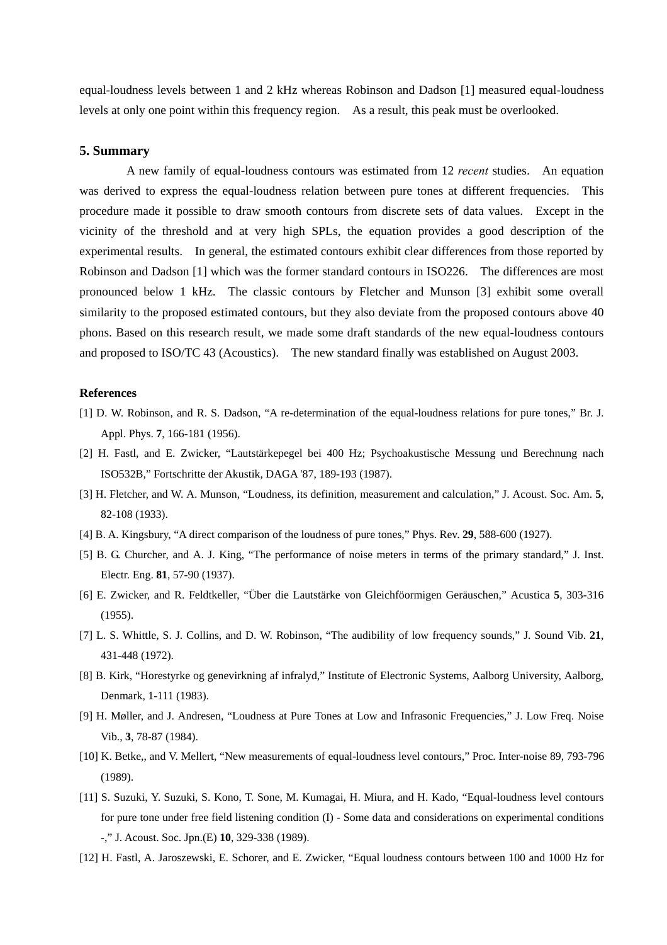equal-loudness levels between 1 and 2 kHz whereas Robinson and Dadson [1] measured equal-loudness levels at only one point within this frequency region. As a result, this peak must be overlooked.

#### **5. Summary**

A new family of equal-loudness contours was estimated from 12 *recent* studies. An equation was derived to express the equal-loudness relation between pure tones at different frequencies. This procedure made it possible to draw smooth contours from discrete sets of data values. Except in the vicinity of the threshold and at very high SPLs, the equation provides a good description of the experimental results. In general, the estimated contours exhibit clear differences from those reported by Robinson and Dadson [1] which was the former standard contours in ISO226. The differences are most pronounced below 1 kHz. The classic contours by Fletcher and Munson [3] exhibit some overall similarity to the proposed estimated contours, but they also deviate from the proposed contours above 40 phons. Based on this research result, we made some draft standards of the new equal-loudness contours and proposed to ISO/TC 43 (Acoustics). The new standard finally was established on August 2003.

#### **References**

- [1] D. W. Robinson, and R. S. Dadson, "A re-determination of the equal-loudness relations for pure tones," Br. J. Appl. Phys. **7**, 166-181 (1956).
- [2] H. Fastl, and E. Zwicker, "Lautstärkepegel bei 400 Hz; Psychoakustische Messung und Berechnung nach ISO532B," Fortschritte der Akustik, DAGA '87, 189-193 (1987).
- [3] H. Fletcher, and W. A. Munson, "Loudness, its definition, measurement and calculation," J. Acoust. Soc. Am. **5**, 82-108 (1933).
- [4] B. A. Kingsbury, "A direct comparison of the loudness of pure tones," Phys. Rev. **29**, 588-600 (1927).
- [5] B. G. Churcher, and A. J. King, "The performance of noise meters in terms of the primary standard," J. Inst. Electr. Eng. **81**, 57-90 (1937).
- [6] E. Zwicker, and R. Feldtkeller, "Über die Lautstärke von Gleichföormigen Geräuschen," Acustica **5**, 303-316 (1955).
- [7] L. S. Whittle, S. J. Collins, and D. W. Robinson, "The audibility of low frequency sounds," J. Sound Vib. **21**, 431-448 (1972).
- [8] B. Kirk, "Horestyrke og genevirkning af infralyd," Institute of Electronic Systems, Aalborg University, Aalborg, Denmark, 1-111 (1983).
- [9] H. Møller, and J. Andresen, "Loudness at Pure Tones at Low and Infrasonic Frequencies," J. Low Freq. Noise Vib., **3**, 78-87 (1984).
- [10] K. Betke,, and V. Mellert, "New measurements of equal-loudness level contours," Proc. Inter-noise 89, 793-796 (1989).
- [11] S. Suzuki, Y. Suzuki, S. Kono, T. Sone, M. Kumagai, H. Miura, and H. Kado, "Equal-loudness level contours for pure tone under free field listening condition (I) - Some data and considerations on experimental conditions -," J. Acoust. Soc. Jpn.(E) **10**, 329-338 (1989).
- [12] H. Fastl, A. Jaroszewski, E. Schorer, and E. Zwicker, "Equal loudness contours between 100 and 1000 Hz for